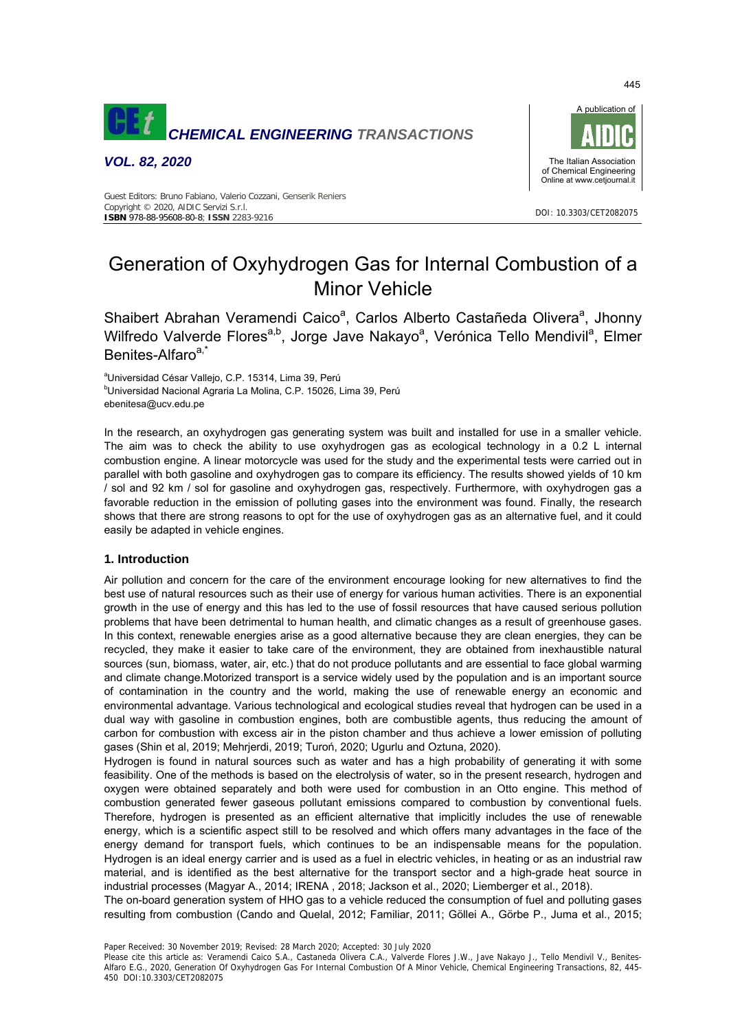

*VOL. 82, 2020* 



#### Guest Editors: Bruno Fabiano, Valerio Cozzani, Genserik Reniers Copyright © 2020, AIDIC Servizi S.r.l. **ISBN** 978-88-95608-80-8; **ISSN** 2283-9216 DOI: 10.3303/CET2082075

# Generation of Oxyhydrogen Gas for Internal Combustion of a Minor Vehicle

Shaibert Abrahan Veramendi Caico<sup>a</sup>, Carlos Alberto Castañeda Olivera<sup>a</sup>, Jhonny Wilfredo Valverde Flores<sup>a,b</sup>, Jorge Jave Nakayo<sup>a</sup>, Verónica Tello Mendivil<sup>a</sup>, Elmer Benites-Alfaro<sup>a,\*</sup>

<sup>a</sup>Universidad César Vallejo, C.P. 15314, Lima 39, Perú b Universidad Nacional Agraria La Molina, C.P. 15026, Lima 39, Perú ebenitesa@ucv.edu.pe

In the research, an oxyhydrogen gas generating system was built and installed for use in a smaller vehicle. The aim was to check the ability to use oxyhydrogen gas as ecological technology in a 0.2 L internal combustion engine. A linear motorcycle was used for the study and the experimental tests were carried out in parallel with both gasoline and oxyhydrogen gas to compare its efficiency. The results showed yields of 10 km / sol and 92 km / sol for gasoline and oxyhydrogen gas, respectively. Furthermore, with oxyhydrogen gas a favorable reduction in the emission of polluting gases into the environment was found. Finally, the research shows that there are strong reasons to opt for the use of oxyhydrogen gas as an alternative fuel, and it could easily be adapted in vehicle engines.

## **1. Introduction**

Air pollution and concern for the care of the environment encourage looking for new alternatives to find the best use of natural resources such as their use of energy for various human activities. There is an exponential growth in the use of energy and this has led to the use of fossil resources that have caused serious pollution problems that have been detrimental to human health, and climatic changes as a result of greenhouse gases. In this context, renewable energies arise as a good alternative because they are clean energies, they can be recycled, they make it easier to take care of the environment, they are obtained from inexhaustible natural sources (sun, biomass, water, air, etc.) that do not produce pollutants and are essential to face global warming and climate change.Motorized transport is a service widely used by the population and is an important source of contamination in the country and the world, making the use of renewable energy an economic and environmental advantage. Various technological and ecological studies reveal that hydrogen can be used in a dual way with gasoline in combustion engines, both are combustible agents, thus reducing the amount of carbon for combustion with excess air in the piston chamber and thus achieve a lower emission of polluting gases (Shin et al, 2019; Mehrjerdi, 2019; Turoń, 2020; Ugurlu and Oztuna, 2020).

Hydrogen is found in natural sources such as water and has a high probability of generating it with some feasibility. One of the methods is based on the electrolysis of water, so in the present research, hydrogen and oxygen were obtained separately and both were used for combustion in an Otto engine. This method of combustion generated fewer gaseous pollutant emissions compared to combustion by conventional fuels. Therefore, hydrogen is presented as an efficient alternative that implicitly includes the use of renewable energy, which is a scientific aspect still to be resolved and which offers many advantages in the face of the energy demand for transport fuels, which continues to be an indispensable means for the population. Hydrogen is an ideal energy carrier and is used as a fuel in electric vehicles, in heating or as an industrial raw material, and is identified as the best alternative for the transport sector and a high-grade heat source in industrial processes (Magyar A., 2014; IRENA , 2018; Jackson et al., 2020; Liemberger et al., 2018).

The on-board generation system of HHO gas to a vehicle reduced the consumption of fuel and polluting gases resulting from combustion (Cando and Quelal, 2012; Familiar, 2011; Göllei A., Görbe P., Juma et al., 2015;

Paper Received: 30 November 2019; Revised: 28 March 2020; Accepted: 30 July 2020

Please cite this article as: Veramendi Caico S.A., Castaneda Olivera C.A., Valverde Flores J.W., Jave Nakayo J., Tello Mendivil V., Benites-Alfaro E.G., 2020, Generation Of Oxyhydrogen Gas For Internal Combustion Of A Minor Vehicle, Chemical Engineering Transactions, 82, 445- 450 DOI:10.3303/CET2082075

445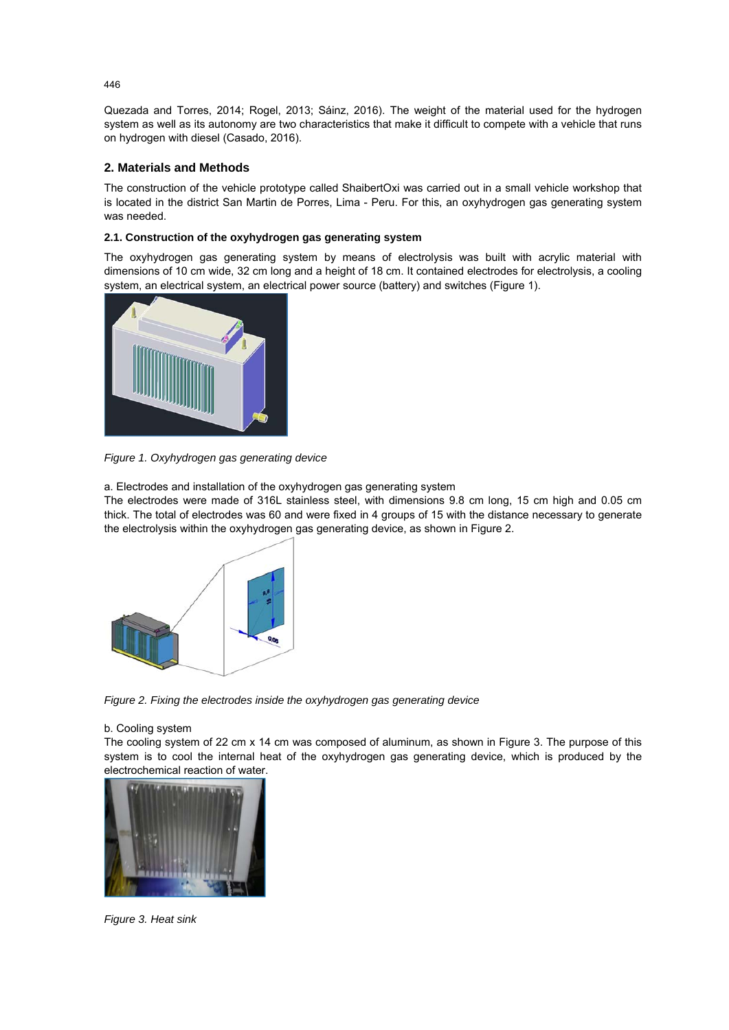Quezada and Torres, 2014; Rogel, 2013; Sáinz, 2016). The weight of the material used for the hydrogen system as well as its autonomy are two characteristics that make it difficult to compete with a vehicle that runs on hydrogen with diesel (Casado, 2016).

## **2. Materials and Methods**

The construction of the vehicle prototype called ShaibertOxi was carried out in a small vehicle workshop that is located in the district San Martin de Porres, Lima - Peru. For this, an oxyhydrogen gas generating system was needed.

## **2.1. Construction of the oxyhydrogen gas generating system**

The oxyhydrogen gas generating system by means of electrolysis was built with acrylic material with dimensions of 10 cm wide, 32 cm long and a height of 18 cm. It contained electrodes for electrolysis, a cooling system, an electrical system, an electrical power source (battery) and switches (Figure 1).



*Figure 1. Oxyhydrogen gas generating device* 

a. Electrodes and installation of the oxyhydrogen gas generating system

The electrodes were made of 316L stainless steel, with dimensions 9.8 cm long, 15 cm high and 0.05 cm thick. The total of electrodes was 60 and were fixed in 4 groups of 15 with the distance necessary to generate the electrolysis within the oxyhydrogen gas generating device, as shown in Figure 2.



*Figure 2. Fixing the electrodes inside the oxyhydrogen gas generating device* 

#### b. Cooling system

The cooling system of 22 cm x 14 cm was composed of aluminum, as shown in Figure 3. The purpose of this system is to cool the internal heat of the oxyhydrogen gas generating device, which is produced by the electrochemical reaction of water.



*Figure 3. Heat sink* 

446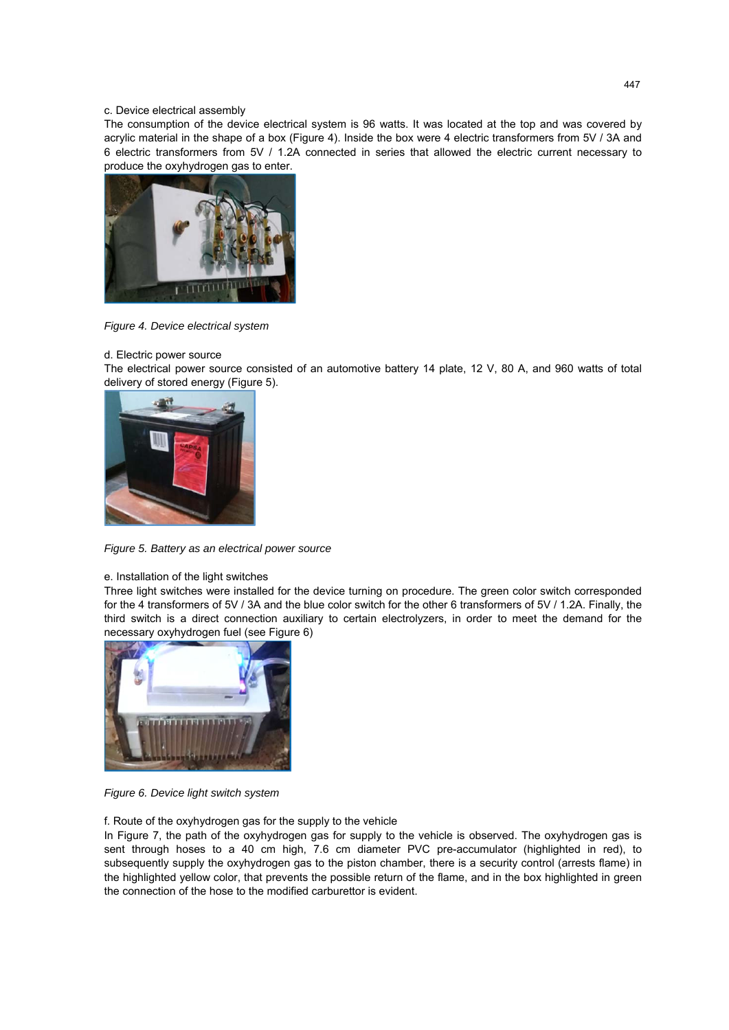### c. Device electrical assembly

The consumption of the device electrical system is 96 watts. It was located at the top and was covered by acrylic material in the shape of a box (Figure 4). Inside the box were 4 electric transformers from 5V / 3A and 6 electric transformers from 5V / 1.2A connected in series that allowed the electric current necessary to produce the oxyhydrogen gas to enter.



*Figure 4. Device electrical system* 

### d. Electric power source

The electrical power source consisted of an automotive battery 14 plate, 12 V, 80 A, and 960 watts of total delivery of stored energy (Figure 5).



*Figure 5. Battery as an electrical power source* 

#### e. Installation of the light switches

Three light switches were installed for the device turning on procedure. The green color switch corresponded for the 4 transformers of 5V / 3A and the blue color switch for the other 6 transformers of 5V / 1.2A. Finally, the third switch is a direct connection auxiliary to certain electrolyzers, in order to meet the demand for the necessary oxyhydrogen fuel (see Figure 6)



*Figure 6. Device light switch system* 

f. Route of the oxyhydrogen gas for the supply to the vehicle

In Figure 7, the path of the oxyhydrogen gas for supply to the vehicle is observed. The oxyhydrogen gas is sent through hoses to a 40 cm high, 7.6 cm diameter PVC pre-accumulator (highlighted in red), to subsequently supply the oxyhydrogen gas to the piston chamber, there is a security control (arrests flame) in the highlighted yellow color, that prevents the possible return of the flame, and in the box highlighted in green the connection of the hose to the modified carburettor is evident.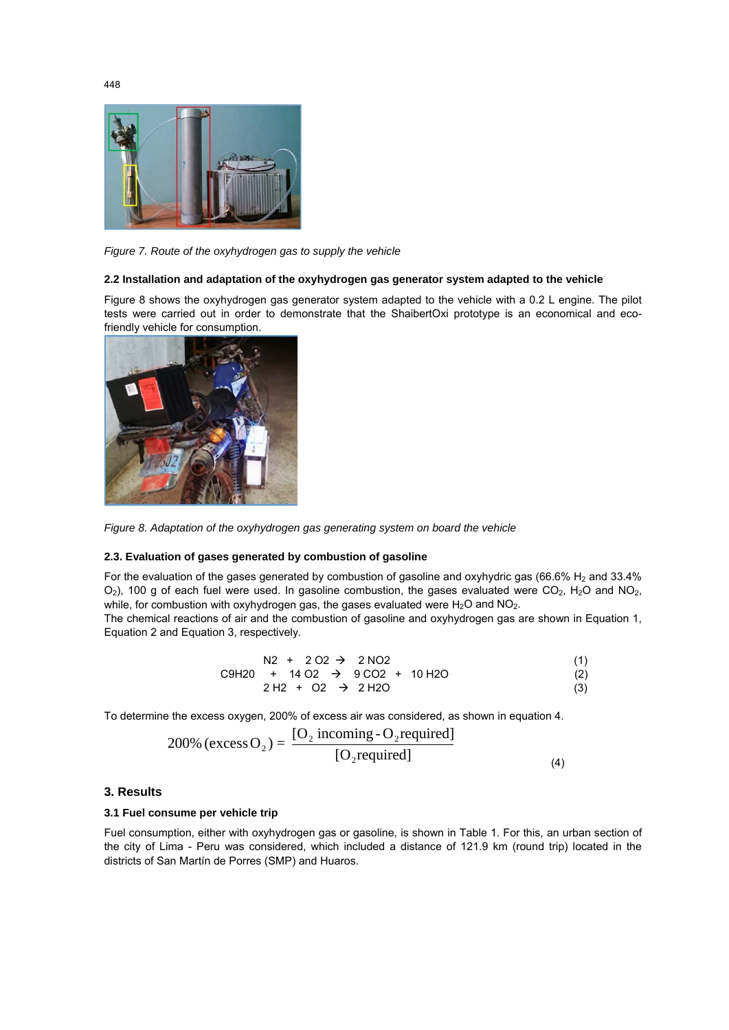

*Figure 7. Route of the oxyhydrogen gas to supply the vehicle* 

#### **2.2 Installation and adaptation of the oxyhydrogen gas generator system adapted to the vehicle**

Figure 8 shows the oxyhydrogen gas generator system adapted to the vehicle with a 0.2 L engine. The pilot tests were carried out in order to demonstrate that the ShaibertOxi prototype is an economical and ecofriendly vehicle for consumption.



*Figure 8. Adaptation of the oxyhydrogen gas generating system on board the vehicle* 

## **2.3. Evaluation of gases generated by combustion of gasoline**

For the evaluation of the gases generated by combustion of gasoline and oxyhydric gas (66.6% H<sub>2</sub> and 33.4%)  $O_2$ ), 100 g of each fuel were used. In gasoline combustion, the gases evaluated were  $CO_2$ , H<sub>2</sub>O and NO<sub>2</sub>, while, for combustion with oxyhydrogen gas, the gases evaluated were  $H_2O$  and  $NO_2$ .

The chemical reactions of air and the combustion of gasoline and oxyhydrogen gas are shown in Equation 1, Equation 2 and Equation 3, respectively.

$$
N2 + 2 O2 \rightarrow 2 NO2
$$
\n
$$
C9H20 + 14 O2 \rightarrow 9 CO2 + 10 H2O
$$
\n
$$
2 H2 + O2 \rightarrow 2 H2O
$$
\n(3)

To determine the excess oxygen, 200% of excess air was considered, as shown in equation 4.

$$
200\% \text{ (excess O}_2) = \frac{[O_2 \text{ incoming - O}_2 \text{required}]}{[O_2 \text{required}]}
$$
\n(4)

#### **3. Results**

#### **3.1 Fuel consume per vehicle trip**

Fuel consumption, either with oxyhydrogen gas or gasoline, is shown in Table 1. For this, an urban section of the city of Lima - Peru was considered, which included a distance of 121.9 km (round trip) located in the districts of San Martín de Porres (SMP) and Huaros.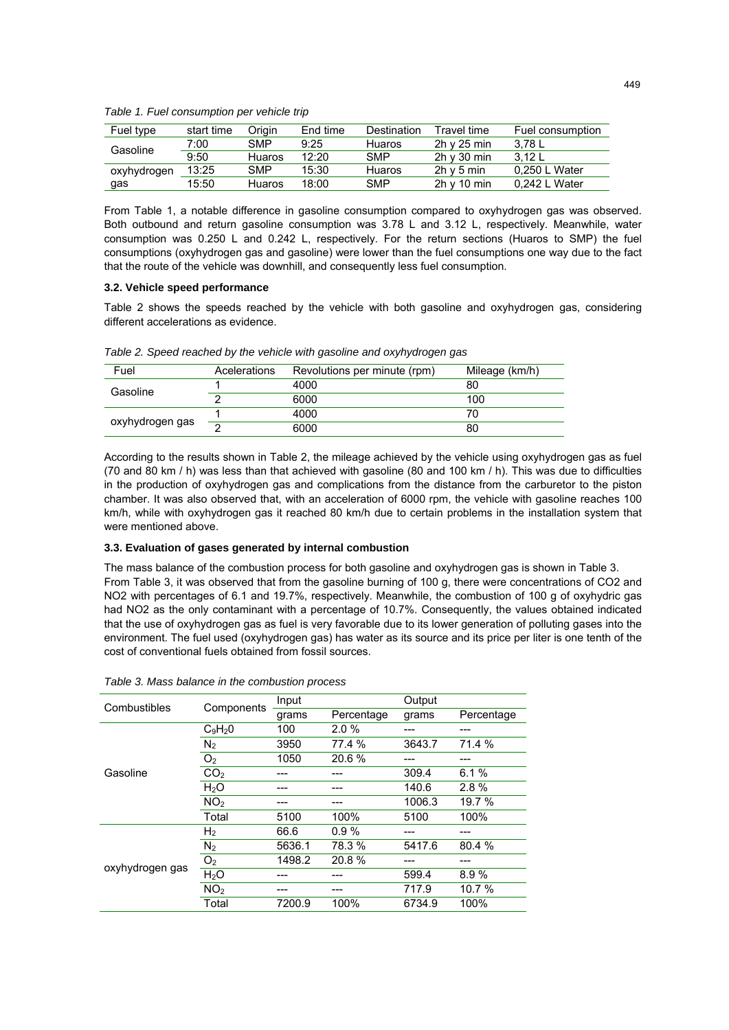*Table 1. Fuel consumption per vehicle trip* 

| Fuel type   | start time | Oriain        | End time | Destination | Travel time     | Fuel consumption |
|-------------|------------|---------------|----------|-------------|-----------------|------------------|
| Gasoline    | 7:00       | SMP           | 9:25     | Huaros      | $2h$ v $25$ min | 3.78 L           |
|             | 9:50       | <b>Huaros</b> | 12:20    | SMP         | $2h$ v 30 min   | 3.12L            |
| oxyhydrogen | 13:25      | SMP           | 15:30    | Huaros      | $2h \vee 5 min$ | 0.250 L Water    |
| gas         | 15:50      | Huaros        | 18:00    | SMP         | $2h$ v 10 min   | 0.242 L Water    |

From Table 1, a notable difference in gasoline consumption compared to oxyhydrogen gas was observed. Both outbound and return gasoline consumption was 3.78 L and 3.12 L, respectively. Meanwhile, water consumption was 0.250 L and 0.242 L, respectively. For the return sections (Huaros to SMP) the fuel consumptions (oxyhydrogen gas and gasoline) were lower than the fuel consumptions one way due to the fact that the route of the vehicle was downhill, and consequently less fuel consumption.

#### **3.2. Vehicle speed performance**

Table 2 shows the speeds reached by the vehicle with both gasoline and oxyhydrogen gas, considering different accelerations as evidence.

| Fuel            | Acelerations | Revolutions per minute (rpm) | Mileage (km/h) |
|-----------------|--------------|------------------------------|----------------|
| Gasoline        |              | 4000                         | 80             |
|                 | ◠            | 6000                         | 100            |
|                 |              | 4000                         |                |
| oxyhydrogen gas | ◠            | 6000                         | 80             |

*Table 2. Speed reached by the vehicle with gasoline and oxyhydrogen gas* 

According to the results shown in Table 2, the mileage achieved by the vehicle using oxyhydrogen gas as fuel (70 and 80 km / h) was less than that achieved with gasoline (80 and 100 km / h). This was due to difficulties in the production of oxyhydrogen gas and complications from the distance from the carburetor to the piston chamber. It was also observed that, with an acceleration of 6000 rpm, the vehicle with gasoline reaches 100 km/h, while with oxyhydrogen gas it reached 80 km/h due to certain problems in the installation system that were mentioned above.

#### **3.3. Evaluation of gases generated by internal combustion**

The mass balance of the combustion process for both gasoline and oxyhydrogen gas is shown in Table 3. From Table 3, it was observed that from the gasoline burning of 100 g, there were concentrations of CO2 and NO2 with percentages of 6.1 and 19.7%, respectively. Meanwhile, the combustion of 100 g of oxyhydric gas had NO2 as the only contaminant with a percentage of 10.7%. Consequently, the values obtained indicated that the use of oxyhydrogen gas as fuel is very favorable due to its lower generation of polluting gases into the environment. The fuel used (oxyhydrogen gas) has water as its source and its price per liter is one tenth of the cost of conventional fuels obtained from fossil sources.

| Combustibles    |                  | Input  |            | Output |            |
|-----------------|------------------|--------|------------|--------|------------|
|                 | Components       | grams  | Percentage | grams  | Percentage |
|                 | $C_9H_2O$        | 100    | 2.0%       |        |            |
|                 | N <sub>2</sub>   | 3950   | 77.4 %     | 3643.7 | 71.4 %     |
|                 | O <sub>2</sub>   | 1050   | 20.6 %     |        |            |
| Gasoline        | CO <sub>2</sub>  |        |            | 309.4  | 6.1%       |
|                 | H <sub>2</sub> O |        |            | 140.6  | 2.8%       |
|                 | NO <sub>2</sub>  |        |            | 1006.3 | 19.7 %     |
|                 | Total            | 5100   | 100%       | 5100   | 100%       |
|                 | H <sub>2</sub>   | 66.6   | 0.9%       |        |            |
|                 | N <sub>2</sub>   | 5636.1 | 78.3 %     | 5417.6 | 80.4 %     |
| oxyhydrogen gas | O <sub>2</sub>   | 1498.2 | 20.8%      |        |            |
|                 | H <sub>2</sub> O |        |            | 599.4  | 8.9%       |
|                 | NO <sub>2</sub>  |        |            | 717.9  | 10.7 %     |
|                 | Total            | 7200.9 | 100%       | 6734.9 | 100%       |

| Table 3. Mass balance in the combustion process |
|-------------------------------------------------|
|-------------------------------------------------|